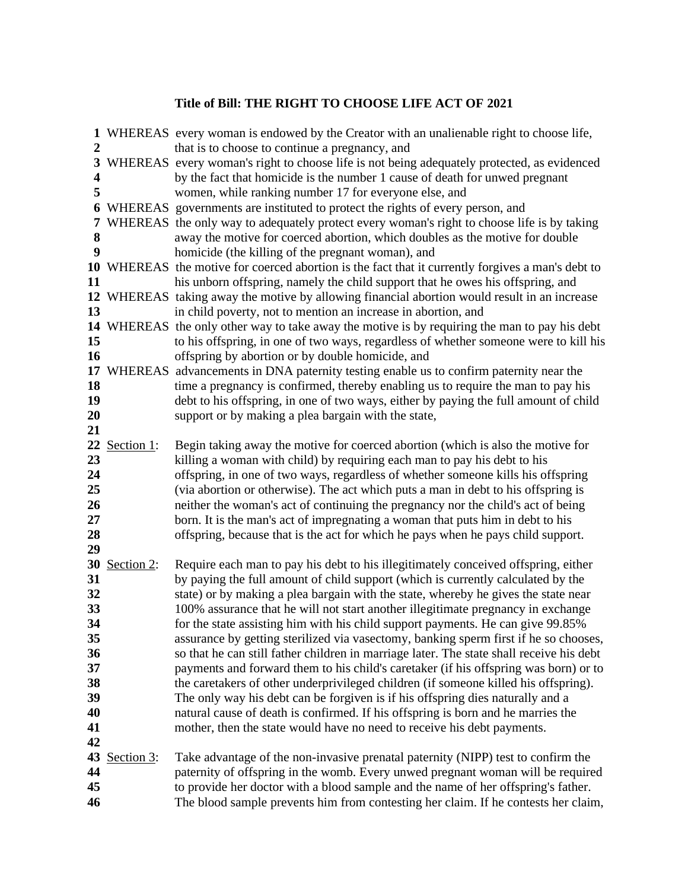## **Title of Bill: THE RIGHT TO CHOOSE LIFE ACT OF 2021**

| $\mathbf{2}$                           |               | 1 WHEREAS every woman is endowed by the Creator with an unalienable right to choose life,                                                                                                                                                                                                                                                                                                                                                                                                                                                                                                                        |
|----------------------------------------|---------------|------------------------------------------------------------------------------------------------------------------------------------------------------------------------------------------------------------------------------------------------------------------------------------------------------------------------------------------------------------------------------------------------------------------------------------------------------------------------------------------------------------------------------------------------------------------------------------------------------------------|
| 3<br>$\overline{\mathbf{4}}$<br>5      |               | that is to choose to continue a pregnancy, and<br>WHEREAS every woman's right to choose life is not being adequately protected, as evidenced<br>by the fact that homicide is the number 1 cause of death for unwed pregnant<br>women, while ranking number 17 for everyone else, and                                                                                                                                                                                                                                                                                                                             |
| 6<br>7<br>8<br>9                       |               | WHEREAS governments are instituted to protect the rights of every person, and<br>WHEREAS the only way to adequately protect every woman's right to choose life is by taking<br>away the motive for coerced abortion, which doubles as the motive for double<br>homicide (the killing of the pregnant woman), and                                                                                                                                                                                                                                                                                                 |
| 11                                     |               | 10 WHEREAS the motive for coerced abortion is the fact that it currently forgives a man's debt to<br>his unborn offspring, namely the child support that he owes his offspring, and<br>12 WHEREAS taking away the motive by allowing financial abortion would result in an increase                                                                                                                                                                                                                                                                                                                              |
| 13<br>15<br>16                         |               | in child poverty, not to mention an increase in abortion, and<br>14 WHEREAS the only other way to take away the motive is by requiring the man to pay his debt<br>to his offspring, in one of two ways, regardless of whether someone were to kill his<br>offspring by abortion or by double homicide, and                                                                                                                                                                                                                                                                                                       |
| 17<br>18<br>19<br>20                   |               | WHEREAS advancements in DNA paternity testing enable us to confirm paternity near the<br>time a pregnancy is confirmed, thereby enabling us to require the man to pay his<br>debt to his offspring, in one of two ways, either by paying the full amount of child<br>support or by making a plea bargain with the state,                                                                                                                                                                                                                                                                                         |
| 21<br>23<br>24<br>25                   | 22 Section 1: | Begin taking away the motive for coerced abortion (which is also the motive for<br>killing a woman with child) by requiring each man to pay his debt to his<br>offspring, in one of two ways, regardless of whether someone kills his offspring<br>(via abortion or otherwise). The act which puts a man in debt to his offspring is                                                                                                                                                                                                                                                                             |
| 26<br>27<br>28<br>29                   |               | neither the woman's act of continuing the pregnancy nor the child's act of being<br>born. It is the man's act of impregnating a woman that puts him in debt to his<br>offspring, because that is the act for which he pays when he pays child support.                                                                                                                                                                                                                                                                                                                                                           |
| 31<br>32<br>33<br>34                   | 30 Section 2: | Require each man to pay his debt to his illegitimately conceived offspring, either<br>by paying the full amount of child support (which is currently calculated by the<br>state) or by making a plea bargain with the state, whereby he gives the state near<br>100% assurance that he will not start another illegitimate pregnancy in exchange<br>for the state assisting him with his child support payments. He can give 99.85%                                                                                                                                                                              |
| 35<br>36<br>37<br>38<br>39<br>40<br>41 |               | assurance by getting sterilized via vasectomy, banking sperm first if he so chooses,<br>so that he can still father children in marriage later. The state shall receive his debt<br>payments and forward them to his child's caretaker (if his offspring was born) or to<br>the caretakers of other underprivileged children (if someone killed his offspring).<br>The only way his debt can be forgiven is if his offspring dies naturally and a<br>natural cause of death is confirmed. If his offspring is born and he marries the<br>mother, then the state would have no need to receive his debt payments. |
| 42<br>44<br>45<br>46                   | 43 Section 3: | Take advantage of the non-invasive prenatal paternity (NIPP) test to confirm the<br>paternity of offspring in the womb. Every unwed pregnant woman will be required<br>to provide her doctor with a blood sample and the name of her offspring's father.<br>The blood sample prevents him from contesting her claim. If he contests her claim,                                                                                                                                                                                                                                                                   |